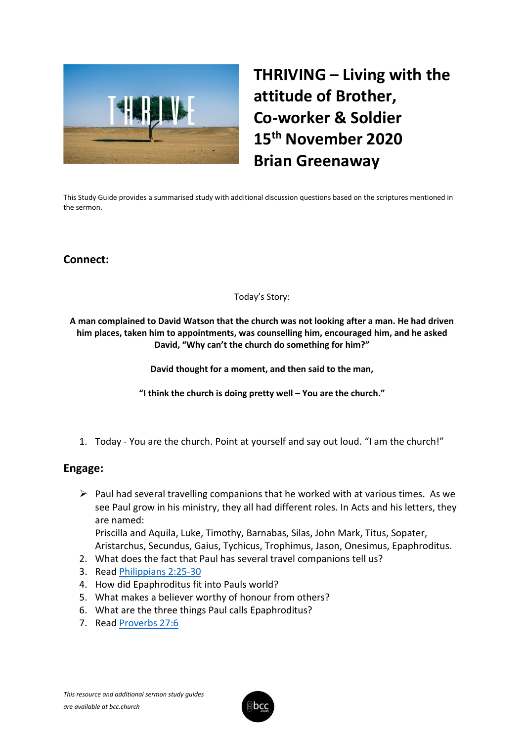

# **THRIVING – Living with the attitude of Brother, Co-worker & Soldier 15th November 2020 Brian Greenaway**

This Study Guide provides a summarised study with additional discussion questions based on the scriptures mentioned in the sermon.

# **Connect:**

#### Today's Story:

**A man complained to David Watson that the church was not looking after a man. He had driven him places, taken him to appointments, was counselling him, encouraged him, and he asked David, "Why can't the church do something for him?"**

**David thought for a moment, and then said to the man,**

**"I think the church is doing pretty well – You are the church."**

1. Today - You are the church. Point at yourself and say out loud. "I am the church!"

## **Engage:**

 $\triangleright$  Paul had several travelling companions that he worked with at various times. As we see Paul grow in his ministry, they all had different roles. In Acts and his letters, they are named: Priscilla and Aquila, Luke, Timothy, Barnabas, Silas, John Mark, Titus, Sopater,

Aristarchus, Secundus, Gaius, Tychicus, Trophimus, Jason, Onesimus, Epaphroditus.

- 2. What does the fact that Paul has several travel companions tell us?
- 3. Read [Philippians 2:25-30](https://www.biblegateway.com/passage/?search=Philippians+2%3A25-30&version=NLT)
- 4. How did Epaphroditus fit into Pauls world?
- 5. What makes a believer worthy of honour from others?
- 6. What are the three things Paul calls Epaphroditus?
- 7. Read [Proverbs 27:6](https://www.biblegateway.com/passage/?search=Proverbs+27%3A6&version=NLT)

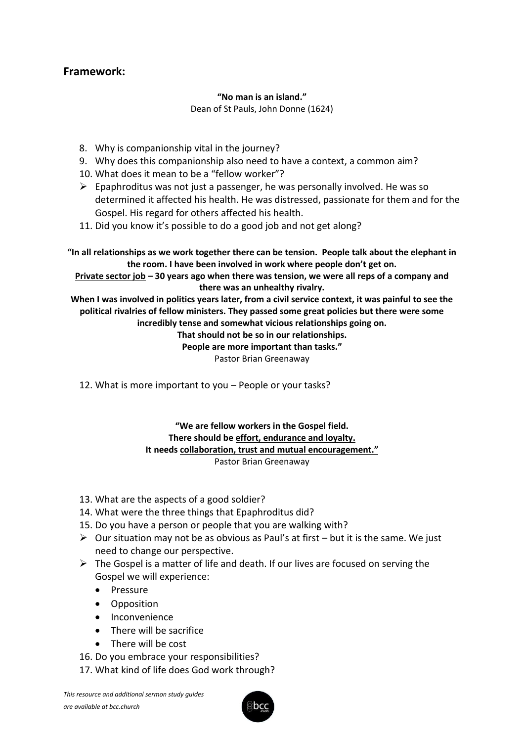# **Framework:**

## **"No man is an island."**

Dean of St Pauls, John Donne (1624)

- 8. Why is companionship vital in the journey?
- 9. Why does this companionship also need to have a context, a common aim?
- 10. What does it mean to be a "fellow worker"?
- $\triangleright$  Epaphroditus was not just a passenger, he was personally involved. He was so determined it affected his health. He was distressed, passionate for them and for the Gospel. His regard for others affected his health.
- 11. Did you know it's possible to do a good job and not get along?

**"In all relationships as we work together there can be tension. People talk about the elephant in the room. I have been involved in work where people don't get on.**

**Private sector job – 30 years ago when there was tension, we were all reps of a company and there was an unhealthy rivalry.**

**When I was involved in politics years later, from a civil service context, it was painful to see the political rivalries of fellow ministers. They passed some great policies but there were some incredibly tense and somewhat vicious relationships going on.** 

**That should not be so in our relationships.**

**People are more important than tasks."**

Pastor Brian Greenaway

12. What is more important to you – People or your tasks?

#### **"We are fellow workers in the Gospel field. There should be effort, endurance and loyalty. It needs collaboration, trust and mutual encouragement."** Pastor Brian Greenaway

- 13. What are the aspects of a good soldier?
- 14. What were the three things that Epaphroditus did?
- 15. Do you have a person or people that you are walking with?
- $\triangleright$  Our situation may not be as obvious as Paul's at first but it is the same. We just need to change our perspective.
- $\triangleright$  The Gospel is a matter of life and death. If our lives are focused on serving the Gospel we will experience:
	- Pressure
	- Opposition
	- Inconvenience
	- There will be sacrifice
	- There will be cost
- 16. Do you embrace your responsibilities?
- 17. What kind of life does God work through?

*This resource and additional sermon study guides are available at bcc.church*